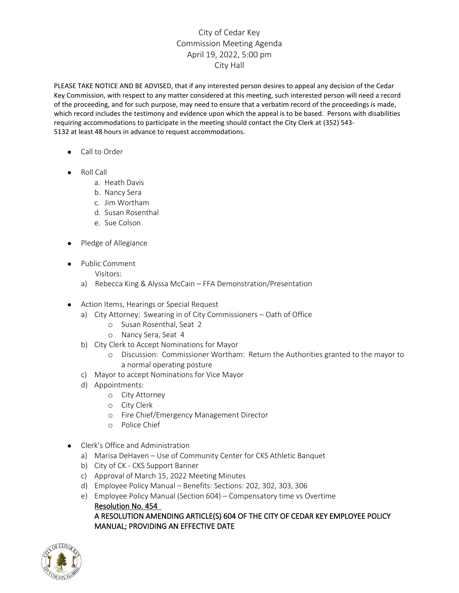## City of Cedar Key Commission Meeting Agenda April 19, 2022, 5:00 pm City Hall

PLEASE TAKE NOTICE AND BE ADVISED, that if any interested person desires to appeal any decision of the Cedar Key Commission, with respect to any matter considered at this meeting, such interested person will need a record of the proceeding, and for such purpose, may need to ensure that a verbatim record of the proceedings is made, which record includes the testimony and evidence upon which the appeal is to be based. Persons with disabilities requiring accommodations to participate in the meeting should contact the City Clerk at (352) 543- 5132 at least 48 hours in advance to request accommodations.

- Call to Order
- Roll Call
	- a. Heath Davis
	- b. Nancy Sera
	- c. Jim Wortham
	- d. Susan Rosenthal
	- e. Sue Colson
- Pledge of Allegiance
- Public Comment
	- Visitors:
	- a) Rebecca King & Alyssa McCain FFA Demonstration/Presentation
- Action Items, Hearings or Special Request
	- a) City Attorney: Swearing in of City Commissioners Oath of Office
		- o Susan Rosenthal, Seat 2
		- o Nancy Sera, Seat 4
	- b) City Clerk to Accept Nominations for Mayor
		- o Discussion: Commissioner Wortham: Return the Authorities granted to the mayor to a normal operating posture
	- c) Mayor to accept Nominations for Vice Mayor
	- d) Appointments:
		- o City Attorney
		- o City Clerk
		- o Fire Chief/Emergency Management Director
		- o Police Chief
- Clerk's Office and Administration
	- a) Marisa DeHaven Use of Community Center for CKS Athletic Banquet
	- b) City of CK CKS Support Banner
	- c) Approval of March 15, 2022 Meeting Minutes
	- d) Employee Policy Manual Benefits: Sections: 202, 302, 303, 306
	- e) Employee Policy Manual (Section 604) Compensatory time vs Overtime

Resolution No. 454 A RESOLUTION AMENDING ARTICLE(S) 604 OF THE CITY OF CEDAR KEY EMPLOYEE POLICY MANUAL; PROVIDING AN EFFECTIVE DATE